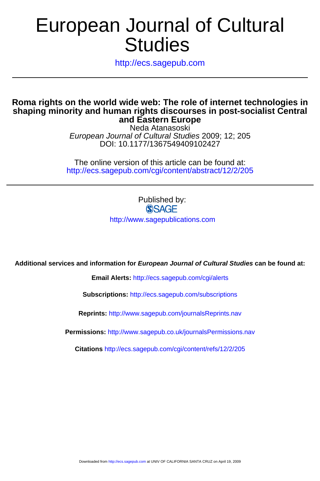# **Studies** European Journal of Cultural

http://ecs.sagepub.com

### **and Eastern Europe shaping minority and human rights discourses in post-socialist Central Roma rights on the world wide web: The role of internet technologies in**

DOI: 10.1177/1367549409102427 European Journal of Cultural Studies 2009; 12; 205 Neda Atanasoski

http://ecs.sagepub.com/cgi/content/abstract/12/2/205 The online version of this article can be found at:

> Published by:<br>
> SAGE http://www.sagepublications.com

**Additional services and information for European Journal of Cultural Studies can be found at:**

**Email Alerts:** <http://ecs.sagepub.com/cgi/alerts>

**Subscriptions:** <http://ecs.sagepub.com/subscriptions>

**Reprints:** <http://www.sagepub.com/journalsReprints.nav>

**Permissions:** <http://www.sagepub.co.uk/journalsPermissions.nav>

**Citations** <http://ecs.sagepub.com/cgi/content/refs/12/2/205>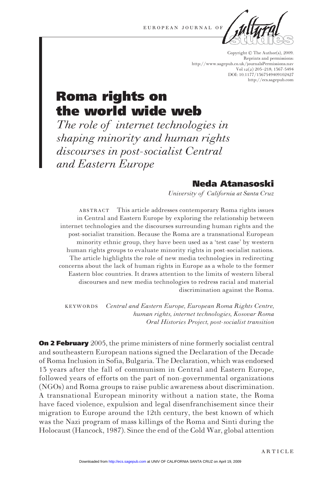

Copyright © The Author(s), 2009. Reprints and permissions: http://www.sagepub.co.uk/journalsPermissions.nav Vol  $12(2)$  205-218; 1367-5494 DOI: 10.1177/1367549409102427 http://ecs.sagepub.com

# **Roma rights on** the world wide web

The role of internet technologies in shaping minority and human rights discourses in post-socialist Central and Eastern Europe

## Neda Atanasoski

University of California at Santa Cruz

**ABSTRACT** This article addresses contemporary Roma rights issues in Central and Eastern Europe by exploring the relationship between internet technologies and the discourses surrounding human rights and the post-socialist transition. Because the Roma are a transnational European minority ethnic group, they have been used as a 'test case' by western human rights groups to evaluate minority rights in post-socialist nations. The article highlights the role of new media technologies in redirecting concerns about the lack of human rights in Europe as a whole to the former Eastern bloc countries. It draws attention to the limits of western liberal discourses and new media technologies to redress racial and material discrimination against the Roma.

**KEYWORDS** Central and Eastern Europe, European Roma Rights Centre, human rights, internet technologies, Kosovar Roma Oral Histories Project, post-socialist transition

**On 2 February** 2005, the prime ministers of nine formerly socialist central and southeastern European nations signed the Declaration of the Decade of Roma Inclusion in Sofia, Bulgaria. The Declaration, which was endorsed 13 years after the fall of communism in Central and Eastern Europe, followed years of efforts on the part of non-governmental organizations (NGOs) and Roma groups to raise public awareness about discrimination. A transnational European minority without a nation state, the Roma have faced violence, expulsion and legal disenfranchisement since their migration to Europe around the 12th century, the best known of which was the Nazi program of mass killings of the Roma and Sinti during the Holocaust (Hancock, 1987). Since the end of the Cold War, global attention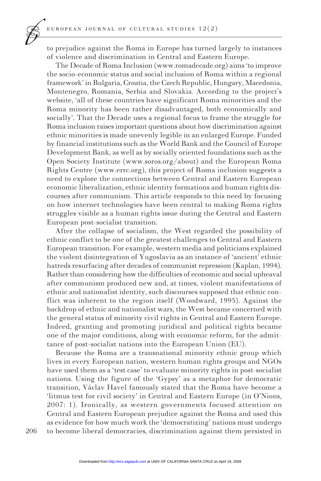to prejudice against the Roma in Europe has turned largely to instances of violence and discrimination in Central and Eastern Europe.

The Decade of Roma Inclusion (www.romadecade.org) aims 'to improve the socio-economic status and social inclusion of Roma within a regional framework' in Bulgaria, Croatia, the Czech Republic, Hungary, Macedonia, Montenegro, Romania, Serbia and Slovakia. According to the project's website, 'all of these countries have significant Roma minorities and the Roma minority has been rather disadvantaged, both economically and socially'. That the Decade uses a regional focus to frame the struggle for Roma inclusion raises important questions about how discrimination against ethnic minorities is made unevenly legible in an enlarged Europe. Funded by financial institutions such as the World Bank and the Council of Europe Development Bank, as well as by socially oriented foundations such as the Open Society Institute (www.soros.org/about) and the European Roma Rights Centre (www.errc.org), this project of Roma inclusion suggests a need to explore the connections between Central and Eastern European economic liberalization, ethnic identity formations and human rights discourses after communism. This article responds to this need by focusing on how internet technologies have been central to making Roma rights struggles visible as a human rights issue during the Central and Eastern European post-socialist transition.

After the collapse of socialism, the West regarded the possibility of ethnic conflict to be one of the greatest challenges to Central and Eastern European transition. For example, western media and politicians explained the violent disintegration of Yugoslavia as an instance of 'ancient' ethnic hatreds resurfacing after decades of communist repression (Kaplan, 1994). Rather than considering how the difficulties of economic and social upheaval after communism produced new and, at times, violent manifestations of ethnic and nationalist identity, such discourses supposed that ethnic conflict was inherent to the region itself (Woodward, 1995). Against the backdrop of ethnic and nationalist wars, the West became concerned with the general status of minority civil rights in Central and Eastern Europe. Indeed, granting and promoting juridical and political rights became one of the major conditions, along with economic reform, for the admittance of post-socialist nations into the European Union (EU).

Because the Roma are a transnational minority ethnic group which lives in every European nation, western human rights groups and NGOs have used them as a 'test case' to evaluate minority rights in post-socialist nations. Using the figure of the 'Gypsy' as a metaphor for democratic transition, Václav Havel famously stated that the Roma have become a 'litmus test for civil society' in Central and Eastern Europe (in O'Nions, 2007: 1). Ironically, as western governments focused attention on Central and Eastern European prejudice against the Roma and used this as evidence for how much work the 'democratizing' nations must undergo to become liberal democracies, discrimination against them persisted in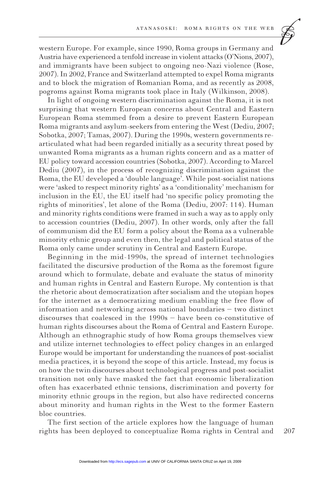

In light of ongoing western discrimination against the Roma, it is not surprising that western European concerns about Central and Eastern European Roma stemmed from a desire to prevent Eastern European Roma migrants and asylum-seekers from entering the West (Dediu, 2007; Sobotka, 2007; Tamas, 2007). During the 1990s, western governments rearticulated what had been regarded initially as a security threat posed by unwanted Roma migrants as a human rights concern and as a matter of EU policy toward accession countries (Sobotka, 2007). According to Marcel Dediu (2007), in the process of recognizing discrimination against the Roma, the EU developed a 'double language'. While post-socialist nations were 'asked to respect minority rights' as a 'conditionality' mechanism for inclusion in the EU, the EU itself had 'no specific policy promoting the rights of minorities', let alone of the Roma (Dediu, 2007: 114). Human and minority rights conditions were framed in such a way as to apply only to accession countries (Dediu, 2007). In other words, only after the fall of communism did the EU form a policy about the Roma as a vulnerable minority ethnic group and even then, the legal and political status of the Roma only came under scrutiny in Central and Eastern Europe.

Beginning in the mid-1990s, the spread of internet technologies facilitated the discursive production of the Roma as the foremost figure around which to formulate, debate and evaluate the status of minority and human rights in Central and Eastern Europe. My contention is that the rhetoric about democratization after socialism and the utopian hopes for the internet as a democratizing medium enabling the free flow of information and networking across national boundaries - two distinct discourses that coalesced in the  $1990s$  – have been co-constitutive of human rights discourses about the Roma of Central and Eastern Europe. Although an ethnographic study of how Roma groups themselves view and utilize internet technologies to effect policy changes in an enlarged Europe would be important for understanding the nuances of post-socialist media practices, it is beyond the scope of this article. Instead, my focus is on how the twin discourses about technological progress and post-socialist transition not only have masked the fact that economic liberalization often has exacerbated ethnic tensions, discrimination and poverty for minority ethnic groups in the region, but also have redirected concerns about minority and human rights in the West to the former Eastern bloc countries.

The first section of the article explores how the language of human rights has been deployed to conceptualize Roma rights in Central and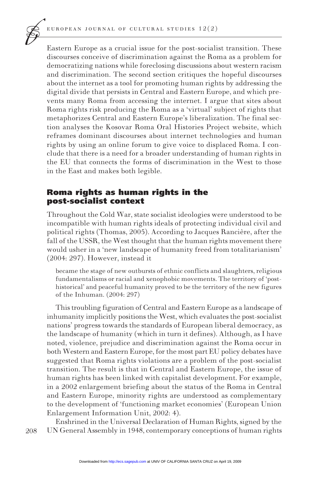Eastern Europe as a crucial issue for the post-socialist transition. These discourses conceive of discrimination against the Roma as a problem for democratizing nations while foreclosing discussions about western racism and discrimination. The second section critiques the hopeful discourses about the internet as a tool for promoting human rights by addressing the digital divide that persists in Central and Eastern Europe, and which prevents many Roma from accessing the internet. I argue that sites about Roma rights risk producing the Roma as a 'virtual' subject of rights that metaphorizes Central and Eastern Europe's liberalization. The final section analyses the Kosovar Roma Oral Histories Project website, which reframes dominant discourses about internet technologies and human rights by using an online forum to give voice to displaced Roma. I conclude that there is a need for a broader understanding of human rights in the EU that connects the forms of discrimination in the West to those in the East and makes both legible.

#### Roma rights as human rights in the post-socialist context

Throughout the Cold War, state socialist ideologies were understood to be incompatible with human rights ideals of protecting individual civil and political rights (Thomas, 2005). According to Jacques Rancière, after the fall of the USSR, the West thought that the human rights movement there would usher in a 'new landscape of humanity freed from totalitarianism'  $(2004:297)$ . However, instead it

became the stage of new outbursts of ethnic conflicts and slaughters, religious fundamentalisms or racial and xenophobic movements. The territory of 'posthistorical' and peaceful humanity proved to be the territory of the new figures of the Inhuman.  $(2004:297)$ 

This troubling figuration of Central and Eastern Europe as a landscape of inhumanity implicitly positions the West, which evaluates the post-socialist nations' progress towards the standards of European liberal democracy, as the landscape of humanity (which in turn it defines). Although, as I have noted, violence, prejudice and discrimination against the Roma occur in both Western and Eastern Europe, for the most part EU policy debates have suggested that Roma rights violations are a problem of the post-socialist transition. The result is that in Central and Eastern Europe, the issue of human rights has been linked with capitalist development. For example, in a 2002 enlargement briefing about the status of the Roma in Central and Eastern Europe, minority rights are understood as complementary to the development of 'functioning market economies' (European Union Enlargement Information Unit, 2002: 4).

208 Enshrined in the Universal Declaration of Human Rights, signed by the UN General Assembly in 1948, contemporary conceptions of human rights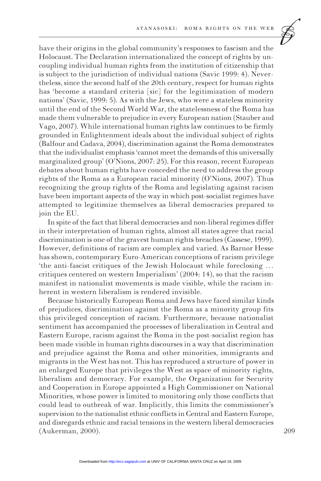

have their origins in the global community's responses to fascism and the Holocaust. The Declaration internationalized the concept of rights by uncoupling individual human rights from the institution of citizenship that is subject to the jurisdiction of individual nations (Savic 1999: 4). Neverthe less, since the second half of the 20th century, respect for human rights has 'become a standard criteria [sic] for the legitimization of modern nations' (Savic, 1999: 5). As with the Jews, who were a stateless minority until the end of the Second World War, the statelessness of the Roma has made them vulnerable to prejudice in every European nation (Stauber and Vago, 2007). While international human rights law continues to be firmly grounded in Enlightenment ideals about the individual subject of rights (Balfour and Cadava, 2004), discrimination against the Roma demonstrates that the individualist emphasis 'cannot meet the demands of this universally marginalized group' (O'Nions, 2007: 25). For this reason, recent European debates about human rights have conceded the need to address the group rights of the Roma as a European racial minority (O'Nions,  $2007$ ). Thus recognizing the group rights of the Roma and legislating against racism have been important aspects of the way in which post-socialist regimes have attempted to legitimize themselves as liberal democracies prepared to join the EU.

In spite of the fact that liberal democracies and non-liberal regimes differ in their interpretation of human rights, almost all states agree that racial discrimination is one of the gravest human rights breaches (Cassese, 1999). However, definitions of racism are complex and varied. As Barnor Hesse has shown, contemporary Euro-American conceptions of racism privilege 'the anti-fascist critiques of the Jewish Holocaust while foreclosing ... critiques centered on western Imperialism' (2004: 14), so that the racism manifest in nationalist movements is made visible, while the racism inherent in western liberalism is rendered invisible.

Because historically European Roma and Jews have faced similar kinds of prejudices, discrimination against the Roma as a minority group fits this privileged conception of racism. Furthermore, because nationalist sentiment has accompanied the processes of liberalization in Central and Eastern Europe, racism against the Roma in the post-socialist region has been made visible in human rights discourses in a way that discrimination and prejudice against the Roma and other minorities, immigrants and migrants in the West has not. This has reproduced a structure of power in an enlarged Europe that privileges the West as space of minority rights, liberalism and democracy. For example, the Organization for Security and Cooperation in Europe appointed a High Commissioner on National Minorities, whose power is limited to monitoring only those conflicts that could lead to outbreak of war. Implicitly, this limits the commissioner's supervision to the nationalist ethnic conflicts in Central and Eastern Europe, and disregards ethnic and racial tensions in the western liberal democracies (Aukerman, 2000).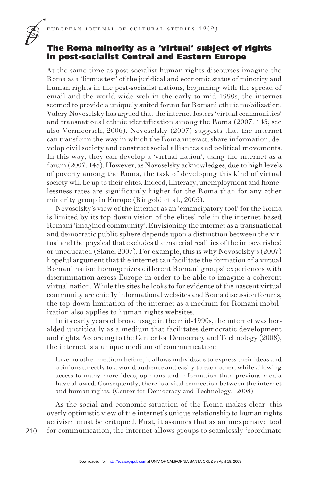#### The Roma minority as a 'virtual' subject of rights in post-socialist Central and Eastern Europe

At the same time as post-socialist human rights discourses imagine the Roma as a 'litmus test' of the juridical and economic status of minority and human rights in the post-socialist nations, beginning with the spread of email and the world wide web in the early to mid-1990s, the internet seemed to provide a uniquely suited forum for Romani ethnic mobilization. Valery Novoselsky has argued that the internet fosters 'virtual communities' and transnational ethnic identification among the Roma  $(2007, 143)$ ; see also Vermeersch, 2006). Novoselsky  $(2007)$  suggests that the internet can transform the way in which the Roma interact, share information, develop civil society and construct social alliances and political movements. In this way, they can develop a 'virtual nation', using the internet as a forum (2007: 148). However, as Novoselsky acknowledges, due to high levels of poverty among the Roma, the task of developing this kind of virtual society will be up to their elites. Indeed, illiteracy, unemployment and homelessness rates are significantly higher for the Roma than for any other minority group in Europe (Ringold et al., 2005).

Novoselsky's view of the internet as an 'emancipatory tool' for the Roma is limited by its top-down vision of the elites' role in the internet-based Romani 'imagined community'. Envisioning the internet as a transnational and democratic public sphere depends upon a distinction between the virtual and the physical that excludes the material realities of the impoverished or uneducated (Slane, 2007). For example, this is why Novoselsky's  $(2007)$ hopeful argument that the internet can facilitate the formation of a virtual Romani nation homogenizes different Romani groups' experiences with discrimination across Europe in order to be able to imagine a coherent virtual nation. While the sites he looks to for evidence of the nascent virtual community are chiefly informational websites and Roma discussion forums, the top-down limitation of the internet as a medium for Romani mobilization also applies to human rights websites.

In its early years of broad usage in the mid-1990s, the internet was heralded uncritically as a medium that facilitates democratic development and rights. According to the Center for Democracy and Technology (2008), the internet is a unique medium of communication:

Like no other medium before, it allows individuals to express their ideas and opinions directly to a world audience and easily to each other, while allowing access to many more ideas, opinions and information than previous media have allowed. Consequently, there is a vital connection between the internet and human rights. (Center for Democracy and Technology, 2008)

As the social and economic situation of the Roma makes clear, this overly optimistic view of the internet's unique relationship to human rights activism must be critiqued. First, it assumes that as an inexpensive tool for communication, the internet allows groups to seamlessly 'coordinate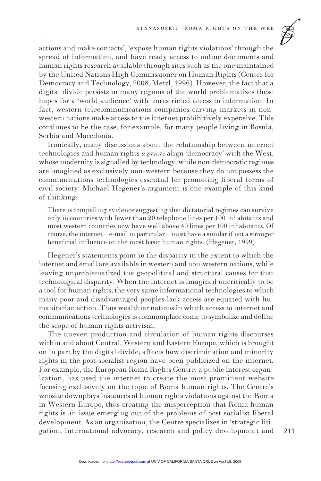

actions and make contacts', 'expose human rights violations' through the spread of information, and have ready access to online documents and human rights research available through sites such as the one maintained by the United Nations High Commissioner on Human Rights (Center for Democracy and Technology, 2008; Metzl, 1996). However, the fact that a digital divide persists in many regions of the world problematizes these hopes for a 'world audience' with unrestricted access to information. In fact, western telecommunications companies carving markets in nonwestern nations make access to the internet prohibitively expensive. This continues to be the case, for example, for many people living in Bosnia, Serbia and Macedonia.

Ironically, many discussions about the relationship between internet technologies and human rights *a priori* align 'democracy' with the West, whose modernity is signalled by technology, while non-democratic regimes are imagined as exclusively non-western because they do not possess the communications technologies essential for promoting liberal forms of civil society. Michael Hegener's argument is one example of this kind of thinking:

There is compelling evidence suggesting that dictatorial regimes can survive only in countries with fewer than 20 telephone lines per 100 inhabitants and most western countries now have well above 40 lines per 100 inhabitants. Of course, the internet  $-e$ -mail in particular  $-must$  have a similar if not a stronger beneficial influence on the most basic human rights. (Hegener, 1999)

Hegener's statements point to the disparity in the extent to which the internet and email are available in western and non-western nations, while leaving unproblematized the geopolitical and structural causes for that technological disparity. When the internet is imagined uncritically to be a tool for human rights, the very same informational technologies to which many poor and disadvantaged peoples lack access are equated with humanitarian action. Thus wealthier nations in which access to internet and communications technologies is commonplace come to symbolize and define the scope of human rights activism.

The uneven production and circulation of human rights discourses within and about Central, Western and Eastern Europe, which is brought on in part by the digital divide, affects how discrimination and minority rights in the post-socialist region have been publicized on the internet. For example, the European Roma Rights Centre, a public interest organization, has used the internet to create the most prominent website focusing exclusively on the topic of Roma human rights. The Centre's website downplays instances of human rights violations against the Roma in Western Europe, thus creating the misperception that Roma human rights is an issue emerging out of the problems of post-socialist liberal development. As an organization, the Centre specializes in 'strategic litigation, international advocacy, research and policy development and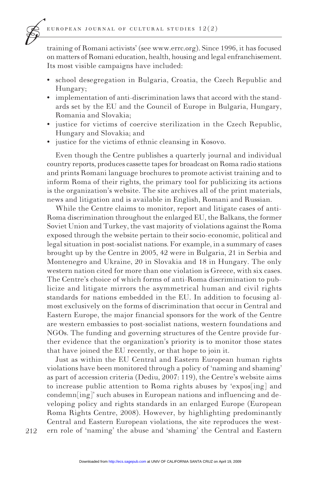training of Romani activists' (see www.errc.org). Since 1996, it has focused on matters of Romani education, health, housing and legal enfranchisement. Its most visible campaigns have included:

- school desegregation in Bulgaria, Croatia, the Czech Republic and Hungary;
- implementation of anti-discrimination laws that accord with the standards set by the EU and the Council of Europe in Bulgaria, Hungary, Bomania and Slovakia:
- justice for victims of coercive sterilization in the Czech Republic, Hungary and Slovakia; and
- justice for the victims of ethnic cleansing in Kosovo.

Even though the Centre publishes a quarterly journal and individual country reports, produces cassette tapes for broadcast on Roma radio stations and prints Romani language brochures to promote activist training and to inform Roma of their rights, the primary tool for publicizing its actions is the organization's website. The site archives all of the print materials, news and litigation and is available in English, Romani and Russian.

While the Centre claims to monitor, report and litigate cases of anti-Roma discrimination throughout the enlarged EU, the Balkans, the former Soviet Union and Turkey, the vast majority of violations against the Roma exposed through the website pertain to their socio-economic, political and legal situation in post-socialist nations. For example, in a summary of cases brought up by the Centre in 2005, 42 were in Bulgaria, 21 in Serbia and Montenegro and Ukraine, 20 in Slovakia and 18 in Hungary. The only western nation cited for more than one violation is Greece, with six cases. The Centre's choice of which forms of anti-Roma discrimination to publicize and litigate mirrors the asymmetrical human and civil rights standards for nations embedded in the EU. In addition to focusing almost exclusively on the forms of discrimination that occur in Central and Eastern Europe, the major financial sponsors for the work of the Centre are western embassies to post-socialist nations, western foundations and NGOs. The funding and governing structures of the Centre provide further evidence that the organization's priority is to monitor those states that have joined the EU recently, or that hope to join it.

Just as within the EU Central and Eastern European human rights violations have been monitored through a policy of 'naming and shaming' as part of accession criteria (Dediu, 2007: 119), the Centre's website aims to increase public attention to Roma rights abuses by 'expos[ing] and condemn[ing]' such abuses in European nations and influencing and developing policy and rights standards in an enlarged Europe (European Roma Rights Centre, 2008). However, by highlighting predominantly Central and Eastern European violations, the site reproduces the western role of 'naming' the abuse and 'shaming' the Central and Eastern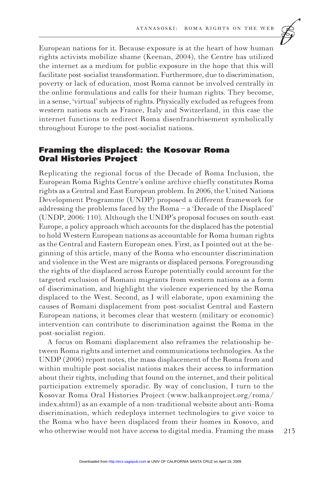

European nations for it. Because exposure is at the heart of how human rights activists mobilize shame (Keenan, 2004), the Centre has utilized the internet as a medium for public exposure in the hope that this will facilitate post-socialist transformation. Furthermore, due to discrimination, poverty or lack of education, most Roma cannot be involved centrally in the online formulations and calls for their human rights. They become, in a sense, 'virtual' subjects of rights. Physically excluded as refugees from western nations such as France, Italy and Switzerland, in this case the internet functions to redirect Roma disenfranchisement symbolically throughout Europe to the post-socialist nations.

#### **Framing the displaced: the Kosovar Roma Oral Histories Project**

Replicating the regional focus of the Decade of Roma Inclusion, the European Roma Rights Centre's online archive chiefly constitutes Roma rights as a Central and East European problem. In 2006, the United Nations Development Programme (UNDP) proposed a different framework for addressing the problems faced by the Roma  $-a$  'Decade of the Displaced' (UNDP, 2006: 110). Although the UNDP's proposal focuses on south-east Europe, a policy approach which accounts for the displaced has the potential to hold Western European nations as accountable for Roma human rights as the Central and Eastern European ones. First, as I pointed out at the beginning of this article, many of the Roma who encounter discrimination and violence in the West are migrants or displaced persons. Foregrounding the rights of the displaced across Europe potentially could account for the targeted exclusion of Romani migrants from western nations as a form of discrimination, and highlight the violence experienced by the Roma displaced to the West. Second, as I will elaborate, upon examining the causes of Romani displacement from post-socialist Central and Eastern European nations, it becomes clear that western (military or economic) intervention can contribute to discrimination against the Roma in the post-socialist region.

A focus on Romani displacement also reframes the relationship between Roma rights and internet and communications technologies. As the UNDP (2006) report notes, the mass displacement of the Roma from and within multiple post-socialist nations makes their access to information about their rights, including that found on the internet, and their political participation extremely sporadic. By way of conclusion, I turn to the Kosovar Roma Oral Histories Project (www.balkanproject.org/roma/ index.shtml) as an example of a non-traditional website about anti-Roma discrimination, which redeploys internet technologies to give voice to the Roma who have been displaced from their homes in Kosovo, and who otherwise would not have access to digital media. Framing the mass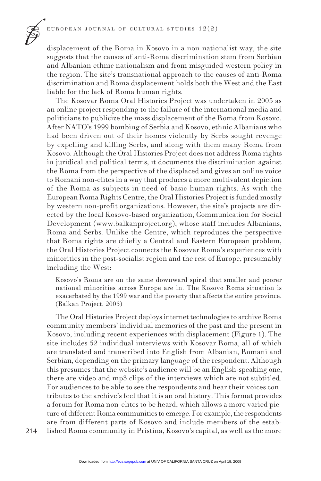displacement of the Roma in Kosovo in a non-nationalist way, the site suggests that the causes of anti-Roma discrimination stem from Serbian and Albanian ethnic nationalism and from misguided western policy in the region. The site's transnational approach to the causes of anti-Roma discrimination and Roma displacement holds both the West and the East liable for the lack of Roma human rights.

The Kosovar Roma Oral Histories Project was undertaken in 2003 as an online project responding to the failure of the international media and politicians to publicize the mass displacement of the Roma from Kosovo. After NATO's 1999 bombing of Serbia and Kosovo, ethnic Albanians who had been driven out of their homes violently by Serbs sought revenge by expelling and killing Serbs, and along with them many Roma from Kosovo. Although the Oral Histories Project does not address Roma rights in juridical and political terms, it documents the discrimination against the Roma from the perspective of the displaced and gives an online voice to Romani non-elites in a way that produces a more multivalent depiction of the Roma as subjects in need of basic human rights. As with the European Roma Rights Centre, the Oral Histories Project is funded mostly by western non-profit organizations. However, the site's projects are directed by the local Kosovo-based organization, Communication for Social Development (www.balkanproject.org), whose staff includes Albanians, Roma and Serbs. Unlike the Centre, which reproduces the perspective that Roma rights are chiefly a Central and Eastern European problem, the Oral Histories Project connects the Kosovar Roma's experiences with minorities in the post-socialist region and the rest of Europe, presumably including the West:

Kosovo's Roma are on the same downward spiral that smaller and poorer national minorities across Europe are in. The Kosovo Roma situation is exacerbated by the 1999 war and the poverty that affects the entire province. (Balkan Project, 2005)

The Oral Histories Project deploys internet technologies to archive Roma community members' individual memories of the past and the present in Kosovo, including recent experiences with displacement (Figure 1). The site includes 52 individual interviews with Kosovar Roma, all of which are translated and transcribed into English from Albanian, Romani and Serbian, depending on the primary language of the respondent. Although this presumes that the website's audience will be an English-speaking one, there are video and mp3 clips of the interviews which are not subtitled. For audiences to be able to see the respondents and hear their voices contributes to the archive's feel that it is an oral history. This format provides a forum for Roma non-elites to be heard, which allows a more varied picture of different Roma communities to emerge. For example, the respondents are from different parts of Kosovo and include members of the established Roma community in Pristina, Kosovo's capital, as well as the more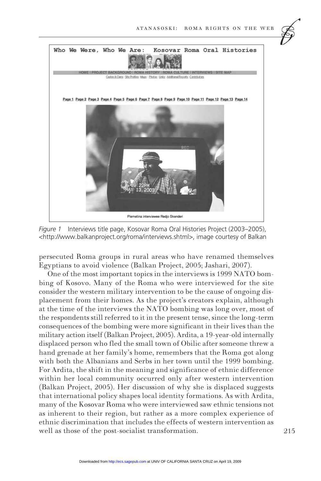

Figure 1 Interviews title page, Kosovar Roma Oral Histories Project (2003–2005), <http://www.balkanproject.org/roma/interviews.shtml>, image courtesy of Balkan

persecuted Roma groups in rural areas who have renamed themselves Egyptians to avoid violence (Balkan Project, 2005; Jashari, 2007).

One of the most important topics in the interviews is 1999 NATO bombing of Kosovo. Many of the Roma who were interviewed for the site consider the western military intervention to be the cause of ongoing displacement from their homes. As the project's creators explain, although at the time of the interviews the NATO bombing was long over, most of the respondents still referred to it in the present tense, since the long-term consequences of the bombing were more significant in their lives than the military action itself (Balkan Project, 2005). Ardita, a 19-year-old internally displaced person who fled the small town of Obilic after someone threw a hand grenade at her family's home, remembers that the Roma got along with both the Albanians and Serbs in her town until the 1999 bombing. For Ardita, the shift in the meaning and significance of ethnic difference within her local community occurred only after western intervention (Balkan Project, 2005). Her discussion of why she is displaced suggests that international policy shapes local identity formations. As with Ardita, many of the Kosovar Roma who were interviewed saw ethnic tensions not as inherent to their region, but rather as a more complex experience of ethnic discrimination that includes the effects of western intervention as well as those of the post-socialist transformation.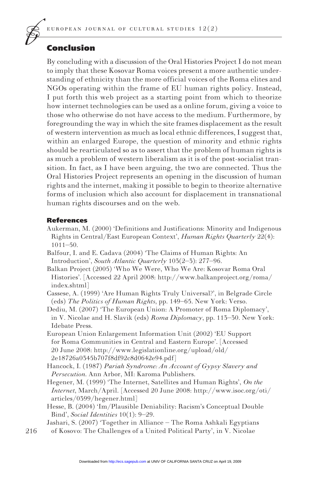## Conclusion

By concluding with a discussion of the Oral Histories Project I do not mean to imply that these Kosovar Roma voices present a more authentic understanding of ethnicity than the more official voices of the Roma elites and NGOs operating within the frame of EU human rights policy. Instead, I put forth this web project as a starting point from which to theorize how internet technologies can be used as a online forum, giving a voice to those who otherwise do not have access to the medium. Furthermore, by foregrounding the way in which the site frames displacement as the result of western intervention as much as local ethnic differences, I suggest that, within an enlarged Europe, the question of minority and ethnic rights should be rearticulated so as to assert that the problem of human rights is as much a problem of western liberalism as it is of the post-socialist transition. In fact, as I have been arguing, the two are connected. Thus the Oral Histories Project represents an opening in the discussion of human rights and the internet, making it possible to begin to theorize alternative forms of inclusion which also account for displacement in transnational human rights discourses and on the web.

#### References

- Aukerman, M. (2000) 'Definitions and Justifications: Minority and Indigenous Rights in Central/East European Context', *Human Rights Quarterly* 22(4):  $1011 - 50.$
- Balfour, I. and E. Cadava (2004) 'The Claims of Human Rights: An Introduction', South Atlantic Quarterly 103(2-3): 277-96.

Balkan Project (2005) 'Who We Were, Who We Are: Kosovar Roma Oral Histories'. [Accessed 22 April 2008: http://www.balkanproject.org/roma/ index.shtml]

- Cassese, A. (1999) 'Are Human Rights Truly Universal?', in Belgrade Circle (eds) The Politics of Human Rights, pp. 149–65. New York: Verso.
- Dediu, M. (2007) 'The European Union: A Promoter of Roma Diplomacy', in V. Nicolae and H. Slavik (eds) Roma Diplomacy, pp. 113-30. New York: Idebate Press.
- European Union Enlargement Information Unit (2002) 'EU Support for Roma Communities in Central and Eastern Europe'. [Accessed] 20 June 2008: http://www.legislationline.org/upload/old/ 2e18726a0345b707f8df92c8d0642e94.pdf]
- Hancock, I. (1987) *Pariah Syndrome: An Account of Gypsy Slavery and* Persecution. Ann Arbor, MI: Karoma Publishers.
- Hegener, M. (1999) 'The Internet, Satellites and Human Rights', On the *Internet*, March/April. [Accessed 20 June 2008: http://www.isoc.org/oti/  $articles/0399/hegener.html$
- Hesse, B. (2004) 'Im/Plausible Deniability: Racism's Conceptual Double Bind', Social Identities 10(1): 9-29.
- 216 Jashari, S. (2007) 'Together in Alliance – The Roma Ashkali Egyptians of Kosovo: The Challenges of a United Political Party', in V. Nicolae

Downloaded from [http://ecs.sagepub.com a](http://ecs.sagepub.com)t UNIV OF CALIFORNIA SANTA CRUZ on April 19, 2009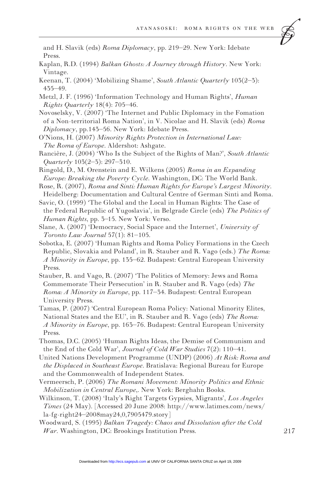and H. Slavik (eds) Roma Diplomacy, pp. 219–29. New York: Idebate Press.

- Kaplan, R.D. (1994) Balkan Ghosts: A Journey through History. New York: Vintage.
- Keenan, T. (2004) 'Mobilizing Shame', South Atlantic Quarterly 103(2-3):  $455 - 49.$
- Metzl, J. F. (1996) 'Information Technology and Human Rights', Human Rights Quarterly  $18(4)$ : 705-46.
- Novoselsky, V. (2007) 'The Internet and Public Diplomacy in the Fomation of a Non-territorial Roma Nation', in V. Nicolae and H. Slavik (eds) Roma Diplomacy, pp.145–56. New York: Idebate Press.
- O'Nions, H. (2007) Minority Rights Protection in International Law: The Roma of Europe. Aldershot: Ashgate.
- Rancière, J. (2004) 'Who Is the Subject of the Rights of Man?', South Atlantic Quarterly  $103(2-3)$ : 297-310.
- Ringold, D., M. Orenstein and E. Wilkens (2005) Roma in an Expanding Europe: Breaking the Poverty Cycle. Washington, DC: The World Bank.
- Rose, R. (2007), Roma and Sinti: Human Rights for Europe's Largest Minority. Heidelberg: Documentation and Cultural Centre of German Sinti and Roma.
- Savic, O. (1999) 'The Global and the Local in Human Rights: The Case of the Federal Republic of Yugoslavia', in Belgrade Circle (eds) The Politics of Human Rights, pp. 3–15. New York: Verso.
- Slane, A. (2007) 'Democracy, Social Space and the Internet', University of Toronto Law Journal  $57(1)$ : 81-105.
- Sobotka, E. (2007) 'Human Rights and Roma Policy Formations in the Czech Republic, Slovakia and Poland', in R. Stauber and R. Vago (eds.) The Roma: A Minority in Europe, pp. 135–62. Budapest: Central European University Press.
- Stauber, R. and Vago, R. (2007) 'The Politics of Memory: Jews and Roma Commemorate Their Persecution' in R. Stauber and R. Vago (eds) The Roma: A Minority in Europe, pp. 117–34. Budapest: Central European University Press.
- Tamas, P. (2007) 'Central European Roma Policy: National Minority Elites, National States and the EU', in R. Stauber and R. Vago (eds) The Roma: A Minority in Europe, pp. 163–76. Budapest: Central European University Press.
- Thomas, D.C. (2005) 'Human Rights Ideas, the Demise of Communism and the End of the Cold War', Journal of Cold War Studies  $7(2)$ : 110-41.
- United Nations Development Programme (UNDP) (2006) At Risk: Roma and the Displaced in Southeast Europe. Bratislava: Regional Bureau for Europe and the Commonwealth of Independent States.
- Vermeersch, P. (2006) The Romani Movement: Minority Politics and Ethnic Mobilization in Central Europe,. New York: Berghahn Books.
- Wilkinson, T. (2008) 'Italy's Right Targets Gypsies, Migrants', Los Angeles Times (24 May). [Accessed 20 June 2008: http://www.latimes.com/news/  $la-fg-right24-2008may24,0,7905479.story$
- Woodward, S. (1995) Balkan Tragedy: Chaos and Dissolution after the Cold War. Washington, DC: Brookings Institution Press.